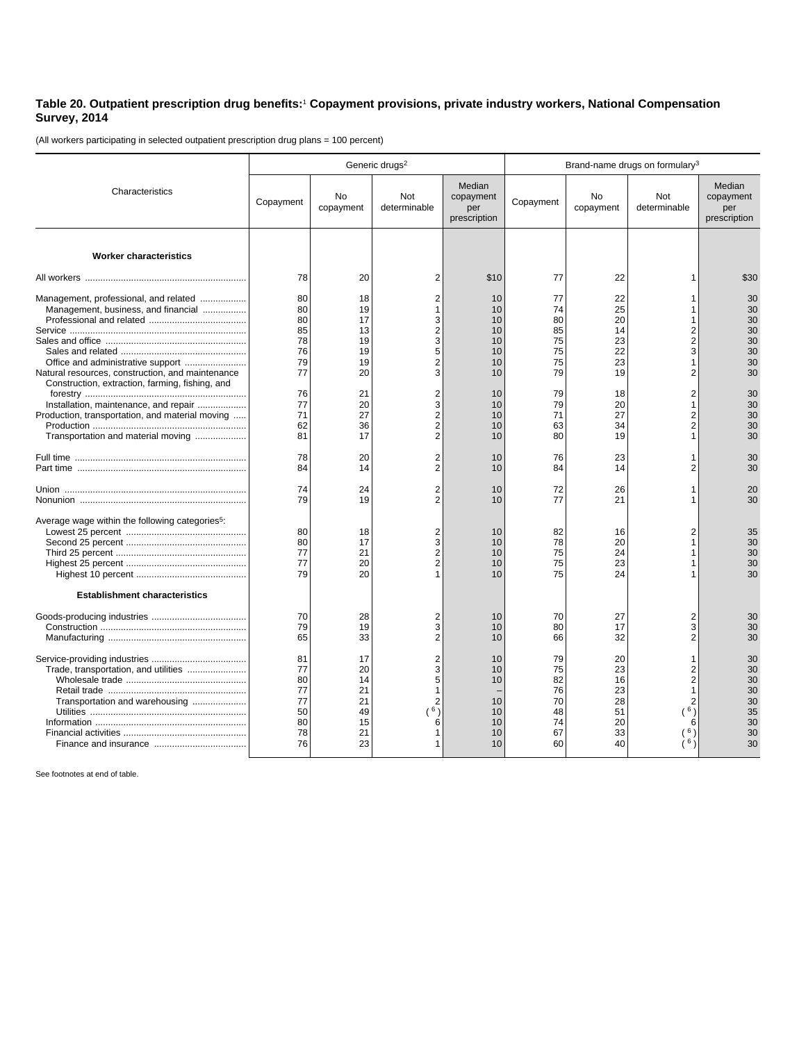## **Table 20. Outpatient prescription drug benefits:**<sup>1</sup>  **Copayment provisions, private industry workers, National Compensation Survey, 2014**

(All workers participating in selected outpatient prescription drug plans = 100 percent)

|                                                                                                     | Generic drugs <sup>2</sup> |                            |                                    |                                            | Brand-name drugs on formulary <sup>3</sup> |                            |                          |                                            |  |
|-----------------------------------------------------------------------------------------------------|----------------------------|----------------------------|------------------------------------|--------------------------------------------|--------------------------------------------|----------------------------|--------------------------|--------------------------------------------|--|
| Characteristics                                                                                     | Copayment                  | No<br>copayment            | Not<br>determinable                | Median<br>copayment<br>per<br>prescription | Copayment                                  | No<br>copayment            | Not<br>determinable      | Median<br>copayment<br>per<br>prescription |  |
|                                                                                                     |                            |                            |                                    |                                            |                                            |                            |                          |                                            |  |
| <b>Worker characteristics</b>                                                                       |                            |                            |                                    |                                            |                                            |                            |                          |                                            |  |
|                                                                                                     | 78                         | 20                         | 2                                  | \$10                                       | 77                                         | 22                         | 1                        | \$30                                       |  |
| Management, professional, and related<br>Management, business, and financial                        | 80<br>80                   | 18<br>19                   | 2<br>1                             | 10<br>10                                   | 77<br>74                                   | 22<br>25                   |                          | 30<br>30                                   |  |
|                                                                                                     | 80<br>85                   | 17<br>13                   | 3<br>$\overline{\mathbf{c}}$       | 10<br>10                                   | 80<br>85                                   | 20<br>14                   | $\overline{2}$           | 30<br>30                                   |  |
|                                                                                                     | 78<br>76                   | 19<br>19                   | 3<br>5                             | 10<br>10                                   | 75<br>75                                   | 23<br>22                   | 2<br>3                   | 30<br>30                                   |  |
| Natural resources, construction, and maintenance<br>Construction, extraction, farming, fishing, and | 79<br>77                   | 19<br>20                   | 2<br>3                             | 10<br>10                                   | 75<br>79                                   | 23<br>19                   | 2                        | 30<br>30                                   |  |
| Installation, maintenance, and repair                                                               | 76<br>77                   | 21<br>20                   | 2<br>3                             | 10<br>10                                   | 79<br>79                                   | 18<br>20                   | $\overline{2}$           | 30<br>30                                   |  |
| Production, transportation, and material moving<br>Transportation and material moving               | 71<br>62<br>81             | 27<br>36<br>17             | 2<br>$\overline{\mathbf{c}}$<br>2  | 10<br>10<br>10                             | 71<br>63<br>80                             | 27<br>34<br>19             | 2<br>2                   | 30<br>30<br>30                             |  |
|                                                                                                     | 78                         | 20                         | 2                                  | 10                                         | 76                                         | 23                         |                          | 30                                         |  |
|                                                                                                     | 84                         | 14                         | $\overline{2}$                     | 10                                         | 84                                         | 14                         | 2                        | 30                                         |  |
|                                                                                                     | 74<br>79                   | 24<br>19                   | $\overline{2}$<br>$\overline{2}$   | 10<br>10                                   | 72<br>77                                   | 26<br>21                   | 1                        | 20<br>30                                   |  |
| Average wage within the following categories <sup>5</sup> :                                         | 80                         | 18                         | 2                                  | 10                                         | 82                                         | 16                         | $\overline{2}$           | 35                                         |  |
|                                                                                                     | 80<br>77                   | 17<br>21                   | 3<br>$\overline{\mathbf{c}}$       | 10<br>10                                   | 78<br>75                                   | 20<br>24                   |                          | 30<br>30                                   |  |
|                                                                                                     | 77<br>79                   | 20<br>20                   | $\overline{2}$                     | 10<br>10                                   | 75<br>75                                   | 23<br>24                   |                          | 30<br>30                                   |  |
| <b>Establishment characteristics</b>                                                                |                            |                            |                                    |                                            |                                            |                            |                          |                                            |  |
|                                                                                                     | 70<br>79<br>65             | 28<br>19<br>33             | 2<br>3<br>2                        | 10<br>10<br>10                             | 70<br>80<br>66                             | 27<br>17<br>32             | $\overline{2}$<br>3<br>2 | 30<br>30<br>30                             |  |
|                                                                                                     |                            |                            |                                    |                                            |                                            |                            |                          |                                            |  |
| Trade, transportation, and utilities<br>Transportation and warehousing                              | 81<br>77<br>80<br>77<br>77 | 17<br>20<br>14<br>21<br>21 | 2<br>3<br>5<br>1<br>$\overline{2}$ | 10<br>10<br>10<br>10                       | 79<br>75<br>82<br>76<br>70                 | 20<br>23<br>16<br>23<br>28 |                          | 30<br>30<br>30<br>30<br>30                 |  |
|                                                                                                     | 50<br>80                   | 49<br>15                   | (6)<br>6                           | 10<br>10                                   | 48<br>74                                   | 51<br>20                   | (6)                      | 35<br>30                                   |  |
|                                                                                                     | 78<br>76                   | 21<br>23                   | 1                                  | 10<br>10                                   | 67<br>60                                   | 33<br>40                   | 6 <sup>1</sup>           | 30<br>30                                   |  |

See footnotes at end of table.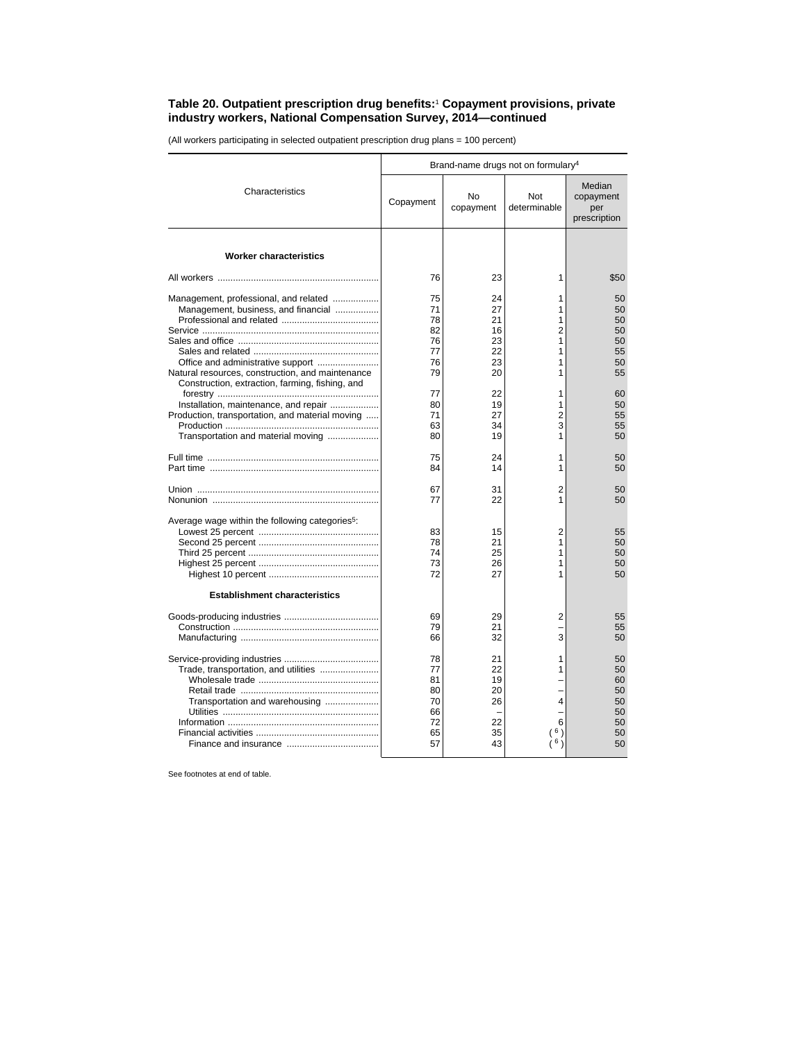## **Table 20. Outpatient prescription drug benefits:**<sup>1</sup>  **Copayment provisions, private industry workers, National Compensation Survey, 2014—continued**

(All workers participating in selected outpatient prescription drug plans = 100 percent)

|                                                                                                                                | Brand-name drugs not on formulary <sup>4</sup>     |                                              |                                              |                                                    |  |
|--------------------------------------------------------------------------------------------------------------------------------|----------------------------------------------------|----------------------------------------------|----------------------------------------------|----------------------------------------------------|--|
| Characteristics                                                                                                                | Copayment                                          | No<br>copayment                              | Not<br>determinable                          | Median<br>copayment<br>per<br>prescription         |  |
|                                                                                                                                |                                                    |                                              |                                              |                                                    |  |
| <b>Worker characteristics</b>                                                                                                  |                                                    |                                              |                                              |                                                    |  |
|                                                                                                                                | 76                                                 | 23                                           | 1                                            | \$50                                               |  |
| Management, professional, and related<br>Management, business, and financial<br>Office and administrative support              | 75<br>71<br>78<br>82<br>76<br>77<br>76             | 24<br>27<br>21<br>16<br>23<br>22<br>23       | 1<br>1<br>1<br>$\overline{2}$<br>1<br>1<br>1 | 50<br>50<br>50<br>50<br>50<br>55<br>50             |  |
| Natural resources, construction, and maintenance<br>Construction, extraction, farming, fishing, and                            | 79                                                 | 20                                           | 1                                            | 55                                                 |  |
| Installation, maintenance, and repair<br>Production, transportation, and material moving<br>Transportation and material moving | 77<br>80<br>71<br>63<br>80                         | 22<br>19<br>27<br>34<br>19                   | 1<br>1<br>2<br>3<br>1                        | 60<br>50<br>55<br>55<br>50                         |  |
|                                                                                                                                | 75<br>84                                           | 24<br>14                                     | 1<br>1                                       | 50<br>50                                           |  |
|                                                                                                                                | 67<br>77                                           | 31<br>22                                     | $\overline{2}$<br>1                          | 50<br>50                                           |  |
| Average wage within the following categories <sup>5</sup> :<br><b>Establishment characteristics</b>                            | 83<br>78<br>74<br>73<br>72                         | 15<br>21<br>25<br>26<br>27                   | 2<br>1<br>1<br>1<br>1                        | 55<br>50<br>50<br>50<br>50                         |  |
|                                                                                                                                | 69                                                 | 29                                           | 2                                            | 55                                                 |  |
|                                                                                                                                | 79<br>66                                           | 21<br>32                                     | 3                                            | 55<br>50                                           |  |
| Trade, transportation, and utilities<br>Transportation and warehousing                                                         | 78<br>77<br>81<br>80<br>70<br>66<br>72<br>65<br>57 | 21<br>22<br>19<br>20<br>26<br>22<br>35<br>43 | 1<br>1<br>4<br>6<br>6 <sub>1</sub><br>6      | 50<br>50<br>60<br>50<br>50<br>50<br>50<br>50<br>50 |  |

See footnotes at end of table.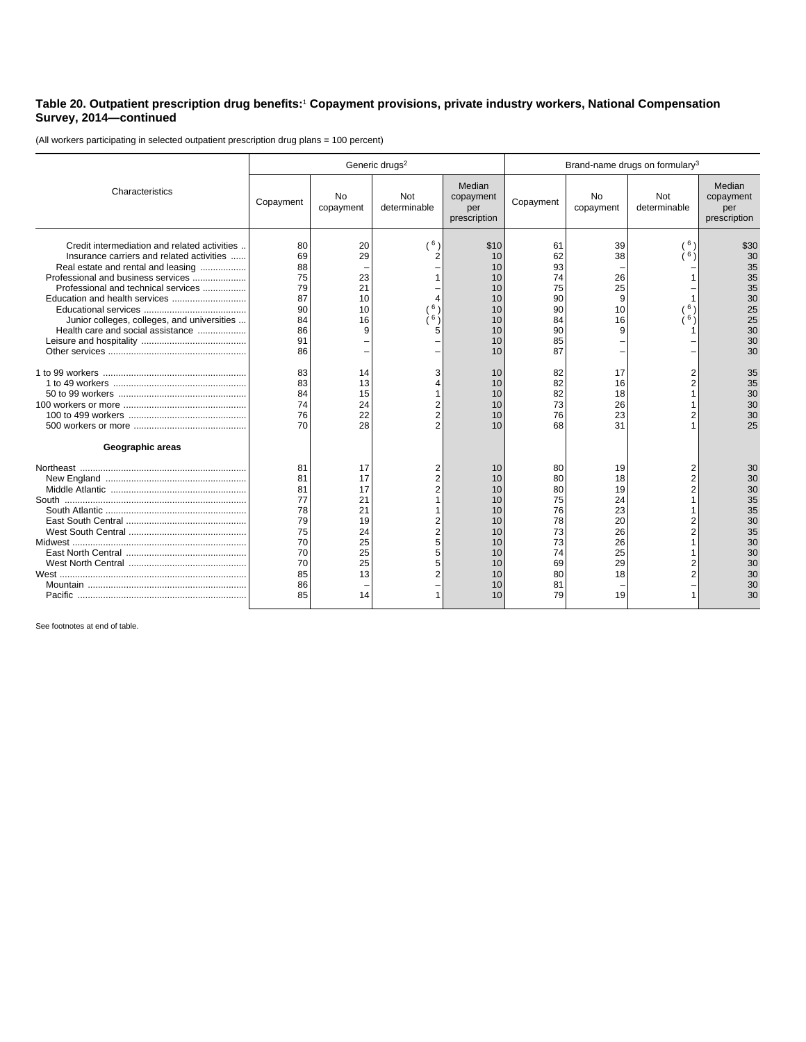## **Table 20. Outpatient prescription drug benefits:**<sup>1</sup>  **Copayment provisions, private industry workers, National Compensation Survey, 2014—continued**

(All workers participating in selected outpatient prescription drug plans = 100 percent)

|                                                                                                                                                                                                                                                                                                                                   | Generic drugs <sup>2</sup>                                                 |                                                                      |                     |                                                                            | Brand-name drugs on formulary <sup>3</sup>                                 |                                                                      |                       |                                                                            |
|-----------------------------------------------------------------------------------------------------------------------------------------------------------------------------------------------------------------------------------------------------------------------------------------------------------------------------------|----------------------------------------------------------------------------|----------------------------------------------------------------------|---------------------|----------------------------------------------------------------------------|----------------------------------------------------------------------------|----------------------------------------------------------------------|-----------------------|----------------------------------------------------------------------------|
| Characteristics                                                                                                                                                                                                                                                                                                                   | Copayment                                                                  | No<br>copayment                                                      | Not<br>determinable | Median<br>copayment<br>per<br>prescription                                 | Copayment                                                                  | <b>No</b><br>copayment                                               | Not<br>determinable   | Median<br>copayment<br>per<br>prescription                                 |
| Credit intermediation and related activities<br>Insurance carriers and related activities<br>Real estate and rental and leasing<br>Professional and business services<br>Professional and technical services<br>Education and health services<br>Junior colleges, colleges, and universities<br>Health care and social assistance | 80<br>69<br>88<br>75<br>79<br>87<br>90<br>84<br>86<br>91<br>86             | 20<br>29<br>23<br>21<br>10<br>10<br>16<br>9                          | (6)<br>6<br>່6່າ    | \$10<br>10<br>10<br>10<br>10<br>10<br>10<br>10<br>10<br>10<br>10           | 61<br>62<br>93<br>74<br>75<br>90<br>90<br>84<br>90<br>85<br>87             | 39<br>38<br>26<br>25<br>9<br>10<br>16<br>9                           | (6)<br>6)<br>6,<br>6, | \$30<br>30<br>35<br>35<br>35<br>30<br>25<br>25<br>30<br>30<br>30           |
| Geographic areas                                                                                                                                                                                                                                                                                                                  | 83<br>83<br>84<br>74<br>76<br>70                                           | 14<br>13<br>15<br>24<br>22<br>28                                     | 2                   | 10<br>10<br>10<br>10<br>10<br>10                                           | 82<br>82<br>82<br>73<br>76<br>68                                           | 17<br>16<br>18<br>26<br>23<br>31                                     |                       | 35<br>35<br>30<br>30<br>30<br>25                                           |
|                                                                                                                                                                                                                                                                                                                                   | 81<br>81<br>81<br>77<br>78<br>79<br>75<br>70<br>70<br>70<br>85<br>86<br>85 | 17<br>17<br>17<br>21<br>21<br>19<br>24<br>25<br>25<br>25<br>13<br>14 |                     | 10<br>10<br>10<br>10<br>10<br>10<br>10<br>10<br>10<br>10<br>10<br>10<br>10 | 80<br>80<br>80<br>75<br>76<br>78<br>73<br>73<br>74<br>69<br>80<br>81<br>79 | 19<br>18<br>19<br>24<br>23<br>20<br>26<br>26<br>25<br>29<br>18<br>19 |                       | 30<br>30<br>30<br>35<br>35<br>30<br>35<br>30<br>30<br>30<br>30<br>30<br>30 |

See footnotes at end of table.